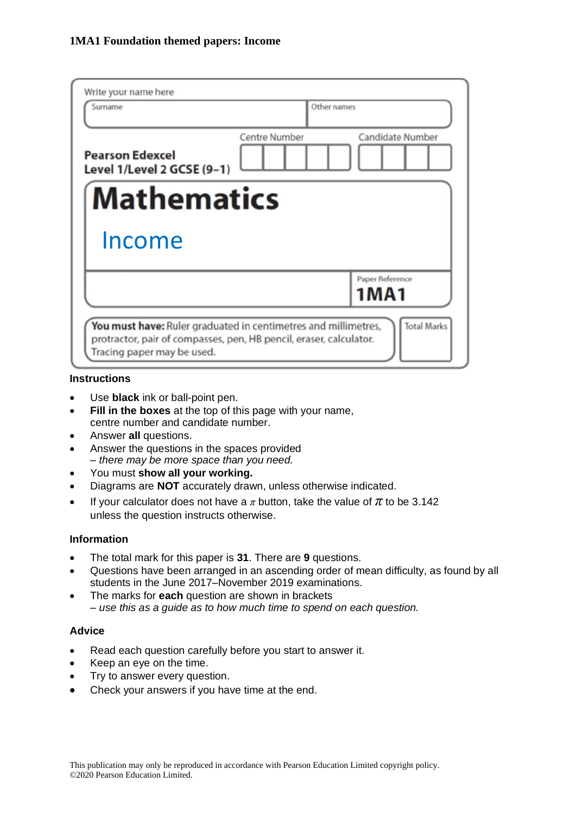| Write your name here                                                                                                                                               |                      |                         |
|--------------------------------------------------------------------------------------------------------------------------------------------------------------------|----------------------|-------------------------|
| Surname                                                                                                                                                            | Other names          |                         |
| <b>Pearson Edexcel</b><br>Level 1/Level 2 GCSE (9-1)                                                                                                               | <b>Centre Number</b> | Candidate Number        |
| <b>Mathematics</b>                                                                                                                                                 |                      |                         |
| Income                                                                                                                                                             |                      |                         |
|                                                                                                                                                                    |                      | Paper Reference<br>1MA1 |
| You must have: Ruler graduated in centimetres and millimetres,<br>protractor, pair of compasses, pen, HB pencil, eraser, calculator.<br>Tracing paper may be used. |                      | <b>Total Marks</b>      |

#### **Instructions**

- Use **black** ink or ball-point pen.
- **Fill in the boxes** at the top of this page with your name, centre number and candidate number.
- Answer **all** questions.
- Answer the questions in the spaces provided *– there may be more space than you need.*
- You must **show all your working.**
- Diagrams are **NOT** accurately drawn, unless otherwise indicated.
- If your calculator does not have a  $\pi$  button, take the value of  $\pi$  to be 3.142 unless the question instructs otherwise.

#### **Information**

- The total mark for this paper is **31**. There are **9** questions.
- Questions have been arranged in an ascending order of mean difficulty, as found by all students in the June 2017–November 2019 examinations.
- The marks for **each** question are shown in brackets *– use this as a guide as to how much time to spend on each question.*

#### **Advice**

- Read each question carefully before you start to answer it.
- Keep an eye on the time.
- Try to answer every question.
- Check your answers if you have time at the end.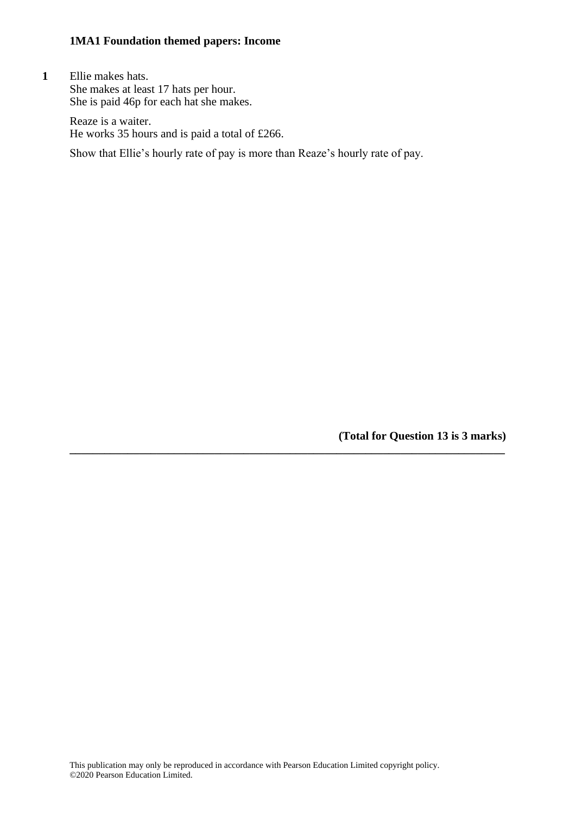**1** Ellie makes hats. She makes at least 17 hats per hour. She is paid 46p for each hat she makes.

> Reaze is a waiter. He works 35 hours and is paid a total of £266.

Show that Ellie's hourly rate of pay is more than Reaze's hourly rate of pay.

**(Total for Question 13 is 3 marks)**

**\_\_\_\_\_\_\_\_\_\_\_\_\_\_\_\_\_\_\_\_\_\_\_\_\_\_\_\_\_\_\_\_\_\_\_\_\_\_\_\_\_\_\_\_\_\_\_\_\_\_\_\_\_\_\_\_\_\_\_\_\_\_\_\_\_\_\_\_\_\_\_\_\_\_\_**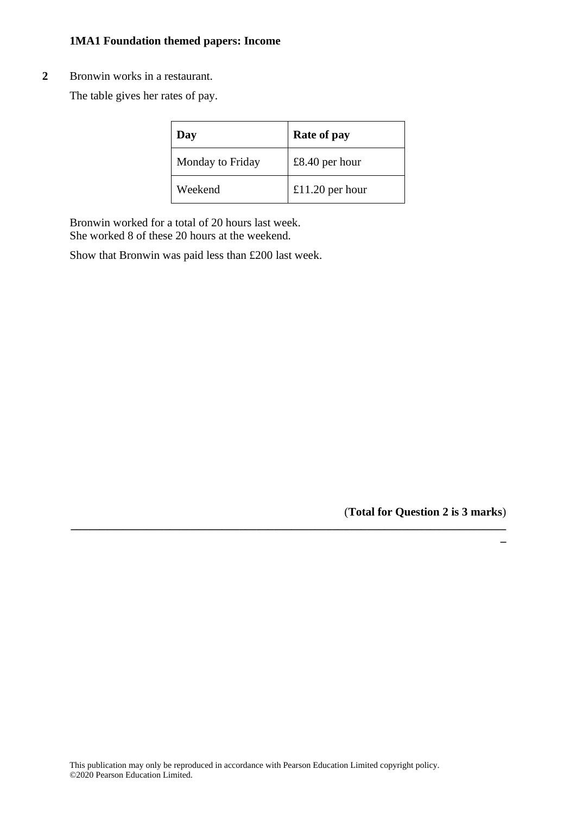#### **2** Bronwin works in a restaurant.

The table gives her rates of pay.

| Day              | Rate of pay     |
|------------------|-----------------|
| Monday to Friday | £8.40 per hour  |
| Weekend          | £11.20 per hour |

**\_\_\_\_\_\_\_\_\_\_\_\_\_\_\_\_\_\_\_\_\_\_\_\_\_\_\_\_\_\_\_\_\_\_\_\_\_\_\_\_\_\_\_\_\_\_\_\_\_\_\_\_\_\_\_\_\_\_\_\_\_\_\_\_\_\_\_\_\_\_\_\_\_\_\_**

Bronwin worked for a total of 20 hours last week. She worked 8 of these 20 hours at the weekend.

Show that Bronwin was paid less than £200 last week.

(**Total for Question 2 is 3 marks**)

**\_**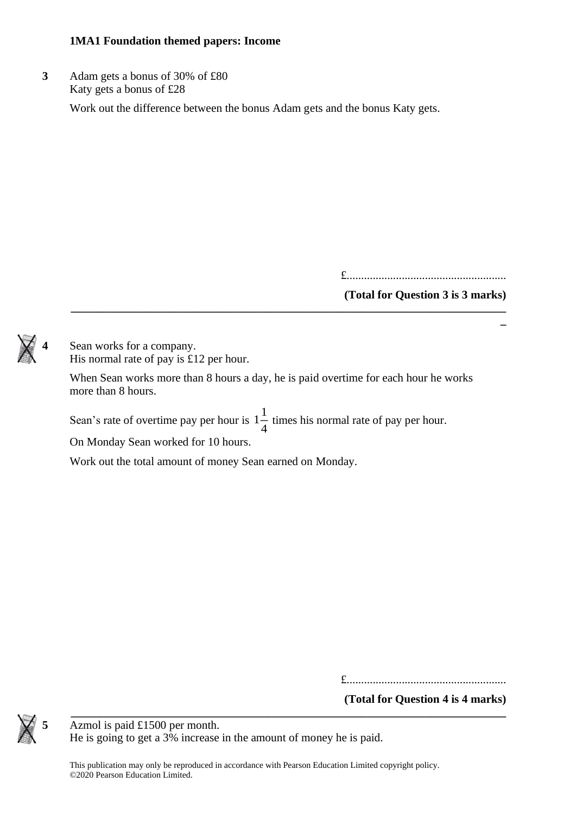**3** Adam gets a bonus of 30% of £80 Katy gets a bonus of £28

Work out the difference between the bonus Adam gets and the bonus Katy gets.

£.......................................................

### **(Total for Question 3 is 3 marks) \_\_\_\_\_\_\_\_\_\_\_\_\_\_\_\_\_\_\_\_\_\_\_\_\_\_\_\_\_\_\_\_\_\_\_\_\_\_\_\_\_\_\_\_\_\_\_\_\_\_\_\_\_\_\_\_\_\_\_\_\_\_\_\_\_\_\_\_\_\_\_\_\_\_\_**

**\_**

Sean works for a company. His normal rate of pay is £12 per hour.

When Sean works more than 8 hours a day, he is paid overtime for each hour he works more than 8 hours.

Sean's rate of overtime pay per hour is  $1\frac{1}{4}$  $\frac{1}{4}$  times his normal rate of pay per hour.

On Monday Sean worked for 10 hours.

Work out the total amount of money Sean earned on Monday.

£.......................................................

**(Total for Question 4 is 4 marks) \_\_\_\_\_\_\_\_\_\_\_\_\_\_\_\_\_\_\_\_\_\_\_\_\_\_\_\_\_\_\_\_\_\_\_\_\_\_\_\_\_\_\_\_\_\_\_\_\_\_\_\_\_\_\_\_\_\_\_\_\_\_\_\_\_\_\_\_\_\_\_\_\_\_\_**



**5** Azmol is paid £1500 per month. He is going to get a 3% increase in the amount of money he is paid.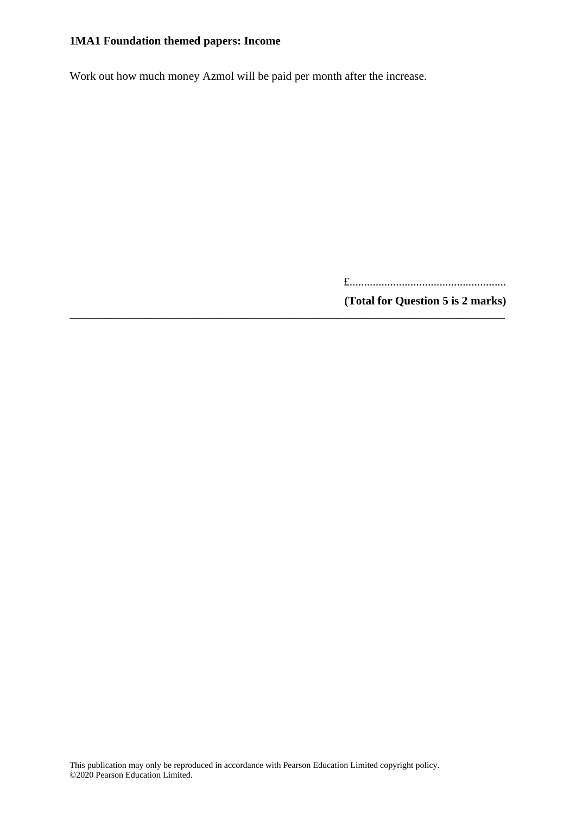Work out how much money Azmol will be paid per month after the increase.

**\_\_\_\_\_\_\_\_\_\_\_\_\_\_\_\_\_\_\_\_\_\_\_\_\_\_\_\_\_\_\_\_\_\_\_\_\_\_\_\_\_\_\_\_\_\_\_\_\_\_\_\_\_\_\_\_\_\_\_\_\_\_\_\_\_\_\_\_\_\_\_\_\_\_\_**

£......................................................

**(Total for Question 5 is 2 marks)**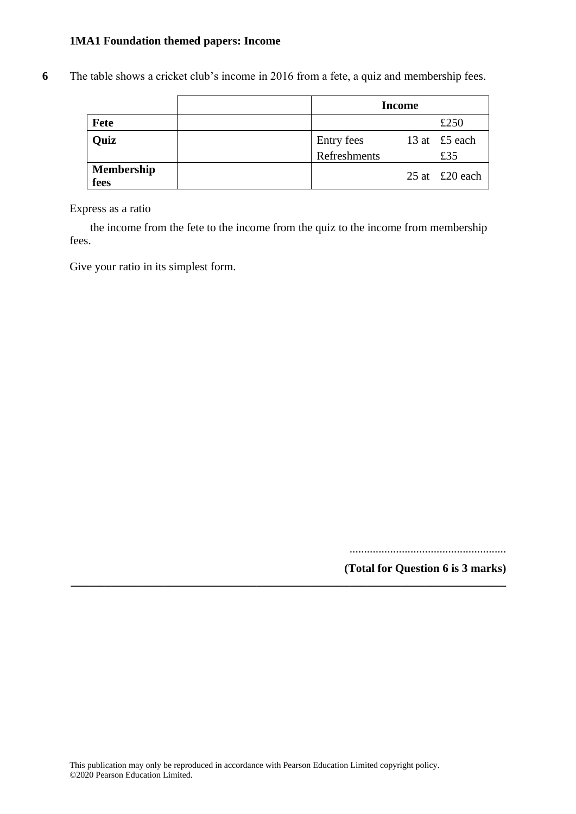**6** The table shows a cricket club's income in 2016 from a fete, a quiz and membership fees.

|                           | <b>Income</b> |  |                               |
|---------------------------|---------------|--|-------------------------------|
| Fete                      |               |  | £250                          |
| Quiz                      | Entry fees    |  | 13 at £5 each                 |
|                           | Refreshments  |  | £35                           |
| <b>Membership</b><br>fees |               |  | 25 at $\text{\pounds}20$ each |

Express as a ratio

the income from the fete to the income from the quiz to the income from membership fees.

Give your ratio in its simplest form.

......................................................

**(Total for Question 6 is 3 marks)**

**\_\_\_\_\_\_\_\_\_\_\_\_\_\_\_\_\_\_\_\_\_\_\_\_\_\_\_\_\_\_\_\_\_\_\_\_\_\_\_\_\_\_\_\_\_\_\_\_\_\_\_\_\_\_\_\_\_\_\_\_\_\_\_\_\_\_\_\_\_\_\_\_\_\_\_**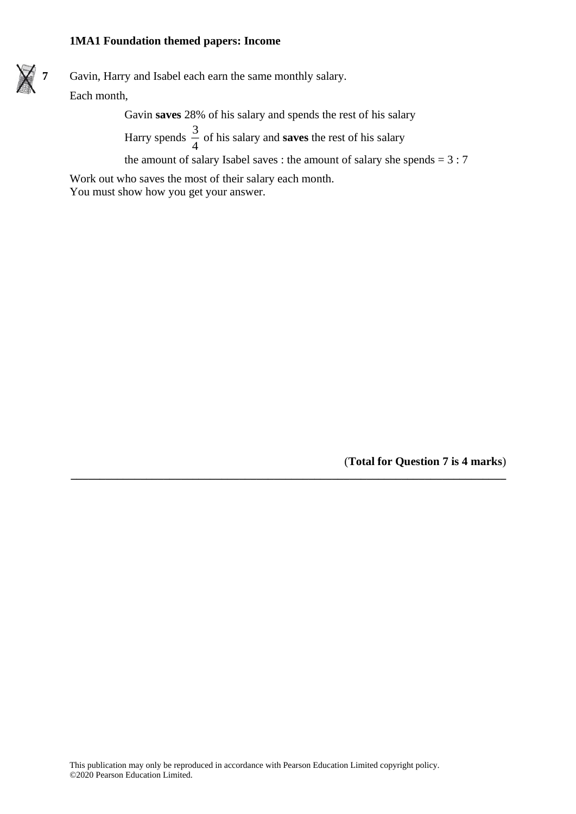**7** Gavin, Harry and Isabel each earn the same monthly salary. Each month,

Gavin **saves** 28% of his salary and spends the rest of his salary

Harry spends  $\frac{3}{4}$  $\frac{3}{4}$  of his salary and **saves** the rest of his salary

the amount of salary Isabel saves : the amount of salary she spends  $= 3:7$ 

**\_\_\_\_\_\_\_\_\_\_\_\_\_\_\_\_\_\_\_\_\_\_\_\_\_\_\_\_\_\_\_\_\_\_\_\_\_\_\_\_\_\_\_\_\_\_\_\_\_\_\_\_\_\_\_\_\_\_\_\_\_\_\_\_\_\_\_\_\_\_\_\_\_\_\_**

Work out who saves the most of their salary each month. You must show how you get your answer.

(**Total for Question 7 is 4 marks**)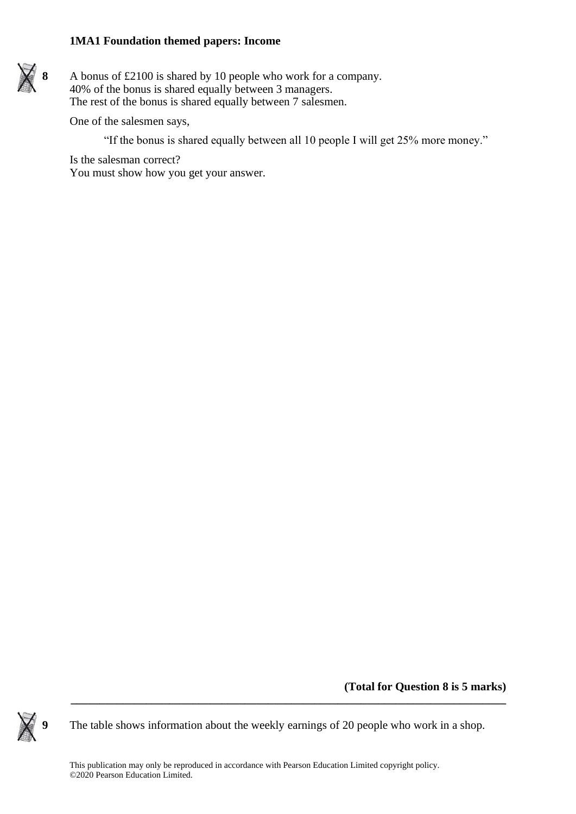

**8** A bonus of £2100 is shared by 10 people who work for a company. 40% of the bonus is shared equally between 3 managers. The rest of the bonus is shared equally between 7 salesmen.

One of the salesmen says,

"If the bonus is shared equally between all 10 people I will get 25% more money."

Is the salesman correct? You must show how you get your answer.

**(Total for Question 8 is 5 marks)**



**9** The table shows information about the weekly earnings of 20 people who work in a shop.

**\_\_\_\_\_\_\_\_\_\_\_\_\_\_\_\_\_\_\_\_\_\_\_\_\_\_\_\_\_\_\_\_\_\_\_\_\_\_\_\_\_\_\_\_\_\_\_\_\_\_\_\_\_\_\_\_\_\_\_\_\_\_\_\_\_\_\_\_\_\_\_\_\_\_\_**